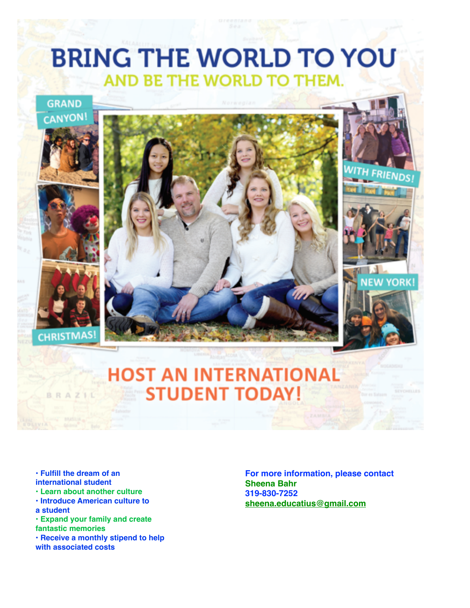## **BRING THE WORLD TO YOU** AND BE THE WORLD TO THEM.



- **Fulfill the dream of an international student**
- **Learn about another culture**
- **Introduce American culture to**
- **a student**
- **Expand your family and create fantastic memories**
- **Receive a monthly stipend to help with associated costs**

**For more information, please contact Sheena Bahr 319-830-7252 [sheena.educatius@gmail.com](mailto:sheena.educatius@gmail.com)**